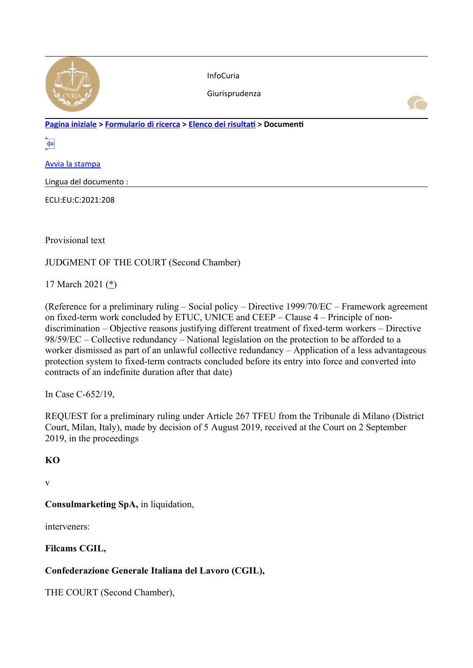

InfoCuria

Giurisprudenza

**[Pagina iniziale](http://curia.europa.eu/jcms/jcms/j_6?PortalAction_x_000_userLang=it) > [Formulario di ricerca](https://curia.europa.eu/juris/document/document.jsf?docid=238962&text=&dir=&doclang=EN&part=1&occ=first&mode=lst&pageIndex=0&actionMethod=document%2Fdocument.xhtml%3AformController.resetAction&cid=2150530) > [Elenco dei risultati](https://curia.europa.eu/juris/documents.jsf?oqp=&for=&mat=or&lgrec=it&jge=&td=%3BALL&jur=C%2CT%2CF&num=C-652%252F19&page=1&dates=&pcs=Oor&lg=&pro=&nat=or&cit=none%252CC%252CCJ%252CR%252C2008E%252C%252C%252C%252C%252C%252C%252C%252C%252C%252Ctrue%252Cfalse%252Cfalse&language=it&avg=&cid=2150530) > Documenti** 

⇚

[Avvia la stampa](https://curia.europa.eu/juris/document/document_print.jsf?docid=238962&text=&dir=&doclang=EN&part=1&occ=first&mode=lst&pageIndex=0&cid=2150530)

Lingua del documento :

ECLI:EU:C:2021:208

Provisional text

JUDGMENT OF THE COURT (Second Chamber)

17 March 2021 [\(\\*](https://curia.europa.eu/juris/document/document.jsf?text=&docid=238962&pageIndex=0&doclang=EN&mode=lst&dir=&occ=first&part=1&cid=2150530#Footnote*))

(Reference for a preliminary ruling – Social policy – Directive 1999/70/EC – Framework agreement on fixed-term work concluded by ETUC, UNICE and CEEP – Clause 4 – Principle of nondiscrimination – Objective reasons justifying different treatment of fixed-term workers – Directive 98/59/EC – Collective redundancy – National legislation on the protection to be afforded to a worker dismissed as part of an unlawful collective redundancy – Application of a less advantageous protection system to fixed-term contracts concluded before its entry into force and converted into contracts of an indefinite duration after that date)

In Case C-652/19,

REQUEST for a preliminary ruling under Article 267 TFEU from the Tribunale di Milano (District Court, Milan, Italy), made by decision of 5 August 2019, received at the Court on 2 September 2019, in the proceedings

### **KO**

v

**Consulmarketing SpA,** in liquidation,

interveners:

**Filcams CGIL,**

## **Confederazione Generale Italiana del Lavoro (CGIL),**

THE COURT (Second Chamber),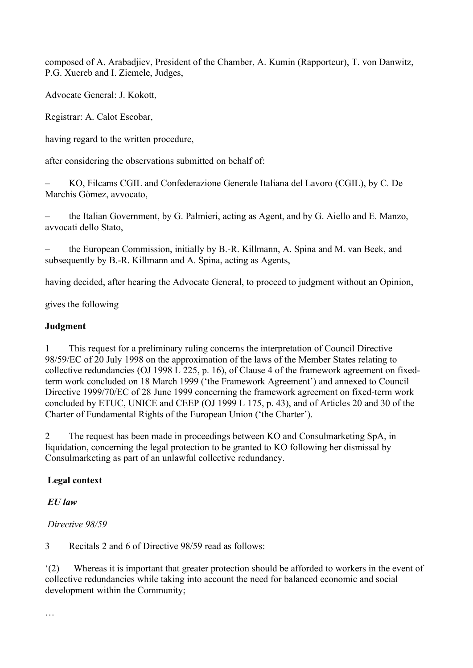composed of A. Arabadjiev, President of the Chamber, A. Kumin (Rapporteur), T. von Danwitz, P.G. Xuereb and I. Ziemele, Judges,

Advocate General: J. Kokott,

Registrar: A. Calot Escobar,

having regard to the written procedure,

after considering the observations submitted on behalf of:

– KO, Filcams CGIL and Confederazione Generale Italiana del Lavoro (CGIL), by C. De Marchis Gòmez, avvocato,

– the Italian Government, by G. Palmieri, acting as Agent, and by G. Aiello and E. Manzo, avvocati dello Stato,

– the European Commission, initially by B.-R. Killmann, A. Spina and M. van Beek, and subsequently by B.-R. Killmann and A. Spina, acting as Agents,

having decided, after hearing the Advocate General, to proceed to judgment without an Opinion,

gives the following

#### **Judgment**

1 This request for a preliminary ruling concerns the interpretation of Council Directive 98/59/EC of 20 July 1998 on the approximation of the laws of the Member States relating to collective redundancies (OJ 1998 L 225, p. 16), of Clause 4 of the framework agreement on fixedterm work concluded on 18 March 1999 ('the Framework Agreement') and annexed to Council Directive 1999/70/EC of 28 June 1999 concerning the framework agreement on fixed-term work concluded by ETUC, UNICE and CEEP (OJ 1999 L 175, p. 43), and of Articles 20 and 30 of the Charter of Fundamental Rights of the European Union ('the Charter').

2 The request has been made in proceedings between KO and Consulmarketing SpA, in liquidation, concerning the legal protection to be granted to KO following her dismissal by Consulmarketing as part of an unlawful collective redundancy.

#### **Legal context**

### *EU law*

#### *Directive 98/59*

3 Recitals 2 and 6 of Directive 98/59 read as follows:

'(2) Whereas it is important that greater protection should be afforded to workers in the event of collective redundancies while taking into account the need for balanced economic and social development within the Community;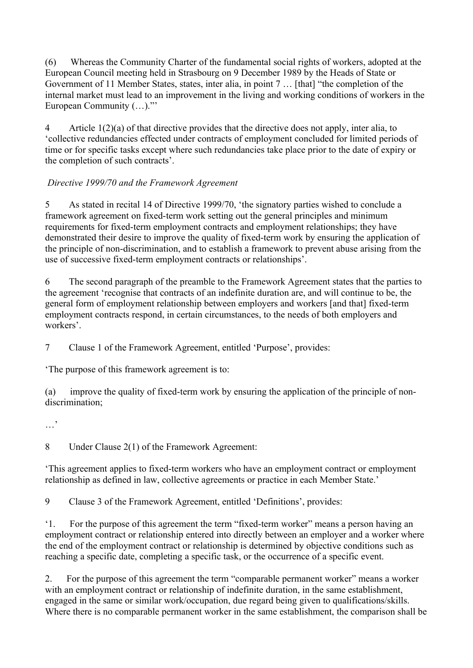(6) Whereas the Community Charter of the fundamental social rights of workers, adopted at the European Council meeting held in Strasbourg on 9 December 1989 by the Heads of State or Government of 11 Member States, states, inter alia, in point 7 … [that] "the completion of the internal market must lead to an improvement in the living and working conditions of workers in the European Community (…)."'

4 Article 1(2)(a) of that directive provides that the directive does not apply, inter alia, to 'collective redundancies effected under contracts of employment concluded for limited periods of time or for specific tasks except where such redundancies take place prior to the date of expiry or the completion of such contracts'.

## *Directive 1999/70 and the Framework Agreement*

5 As stated in recital 14 of Directive 1999/70, 'the signatory parties wished to conclude a framework agreement on fixed-term work setting out the general principles and minimum requirements for fixed-term employment contracts and employment relationships; they have demonstrated their desire to improve the quality of fixed-term work by ensuring the application of the principle of non-discrimination, and to establish a framework to prevent abuse arising from the use of successive fixed-term employment contracts or relationships'.

6 The second paragraph of the preamble to the Framework Agreement states that the parties to the agreement 'recognise that contracts of an indefinite duration are, and will continue to be, the general form of employment relationship between employers and workers [and that] fixed-term employment contracts respond, in certain circumstances, to the needs of both employers and workers'.

7 Clause 1 of the Framework Agreement, entitled 'Purpose', provides:

'The purpose of this framework agreement is to:

(a) improve the quality of fixed-term work by ensuring the application of the principle of nondiscrimination;

8 Under Clause 2(1) of the Framework Agreement:

'This agreement applies to fixed-term workers who have an employment contract or employment relationship as defined in law, collective agreements or practice in each Member State.'

9 Clause 3 of the Framework Agreement, entitled 'Definitions', provides:

'1. For the purpose of this agreement the term "fixed-term worker" means a person having an employment contract or relationship entered into directly between an employer and a worker where the end of the employment contract or relationship is determined by objective conditions such as reaching a specific date, completing a specific task, or the occurrence of a specific event.

2. For the purpose of this agreement the term "comparable permanent worker" means a worker with an employment contract or relationship of indefinite duration, in the same establishment, engaged in the same or similar work/occupation, due regard being given to qualifications/skills. Where there is no comparable permanent worker in the same establishment, the comparison shall be

<sup>…&#</sup>x27;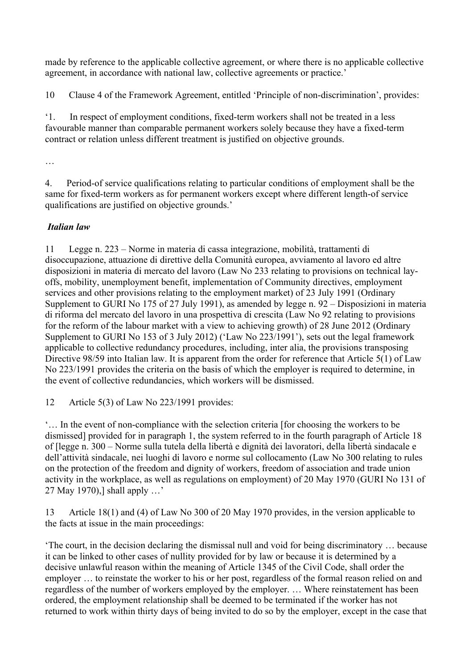made by reference to the applicable collective agreement, or where there is no applicable collective agreement, in accordance with national law, collective agreements or practice.'

10 Clause 4 of the Framework Agreement, entitled 'Principle of non-discrimination', provides:

'1. In respect of employment conditions, fixed-term workers shall not be treated in a less favourable manner than comparable permanent workers solely because they have a fixed-term contract or relation unless different treatment is justified on objective grounds.

…

4. Period-of service qualifications relating to particular conditions of employment shall be the same for fixed-term workers as for permanent workers except where different length-of service qualifications are justified on objective grounds.'

## *Italian law*

11 Legge n. 223 – Norme in materia di cassa integrazione, mobilità, trattamenti di disoccupazione, attuazione di direttive della Comunità europea, avviamento al lavoro ed altre disposizioni in materia di mercato del lavoro (Law No 233 relating to provisions on technical layoffs, mobility, unemployment benefit, implementation of Community directives, employment services and other provisions relating to the employment market) of 23 July 1991 (Ordinary Supplement to GURI No 175 of 27 July 1991), as amended by legge n. 92 – Disposizioni in materia di riforma del mercato del lavoro in una prospettiva di crescita (Law No 92 relating to provisions for the reform of the labour market with a view to achieving growth) of 28 June 2012 (Ordinary Supplement to GURI No 153 of 3 July 2012) ('Law No 223/1991'), sets out the legal framework applicable to collective redundancy procedures, including, inter alia, the provisions transposing Directive 98/59 into Italian law. It is apparent from the order for reference that Article 5(1) of Law No 223/1991 provides the criteria on the basis of which the employer is required to determine, in the event of collective redundancies, which workers will be dismissed.

12 Article 5(3) of Law No 223/1991 provides:

'… In the event of non-compliance with the selection criteria [for choosing the workers to be dismissed] provided for in paragraph 1, the system referred to in the fourth paragraph of Article 18 of [legge n. 300 – Norme sulla tutela della libertà e dignità dei lavoratori, della libertà sindacale e dell'attività sindacale, nei luoghi di lavoro e norme sul collocamento (Law No 300 relating to rules on the protection of the freedom and dignity of workers, freedom of association and trade union activity in the workplace, as well as regulations on employment) of 20 May 1970 (GURI No 131 of 27 May 1970),] shall apply …'

13 Article 18(1) and (4) of Law No 300 of 20 May 1970 provides, in the version applicable to the facts at issue in the main proceedings:

'The court, in the decision declaring the dismissal null and void for being discriminatory … because it can be linked to other cases of nullity provided for by law or because it is determined by a decisive unlawful reason within the meaning of Article 1345 of the Civil Code, shall order the employer … to reinstate the worker to his or her post, regardless of the formal reason relied on and regardless of the number of workers employed by the employer. … Where reinstatement has been ordered, the employment relationship shall be deemed to be terminated if the worker has not returned to work within thirty days of being invited to do so by the employer, except in the case that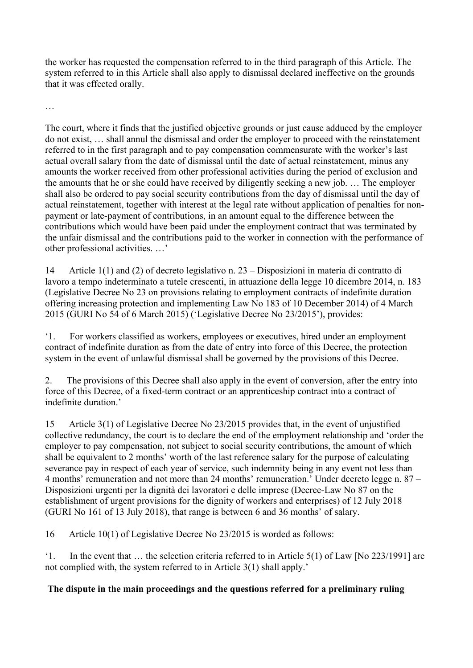the worker has requested the compensation referred to in the third paragraph of this Article. The system referred to in this Article shall also apply to dismissal declared ineffective on the grounds that it was effected orally.

…

The court, where it finds that the justified objective grounds or just cause adduced by the employer do not exist, … shall annul the dismissal and order the employer to proceed with the reinstatement referred to in the first paragraph and to pay compensation commensurate with the worker's last actual overall salary from the date of dismissal until the date of actual reinstatement, minus any amounts the worker received from other professional activities during the period of exclusion and the amounts that he or she could have received by diligently seeking a new job. … The employer shall also be ordered to pay social security contributions from the day of dismissal until the day of actual reinstatement, together with interest at the legal rate without application of penalties for nonpayment or late-payment of contributions, in an amount equal to the difference between the contributions which would have been paid under the employment contract that was terminated by the unfair dismissal and the contributions paid to the worker in connection with the performance of other professional activities. …'

14 Article 1(1) and (2) of decreto legislativo n. 23 – Disposizioni in materia di contratto di lavoro a tempo indeterminato a tutele crescenti, in attuazione della legge 10 dicembre 2014, n. 183 (Legislative Decree No 23 on provisions relating to employment contracts of indefinite duration offering increasing protection and implementing Law No 183 of 10 December 2014) of 4 March 2015 (GURI No 54 of 6 March 2015) ('Legislative Decree No 23/2015'), provides:

'1. For workers classified as workers, employees or executives, hired under an employment contract of indefinite duration as from the date of entry into force of this Decree, the protection system in the event of unlawful dismissal shall be governed by the provisions of this Decree.

2. The provisions of this Decree shall also apply in the event of conversion, after the entry into force of this Decree, of a fixed-term contract or an apprenticeship contract into a contract of indefinite duration.'

15 Article 3(1) of Legislative Decree No 23/2015 provides that, in the event of unjustified collective redundancy, the court is to declare the end of the employment relationship and 'order the employer to pay compensation, not subject to social security contributions, the amount of which shall be equivalent to 2 months' worth of the last reference salary for the purpose of calculating severance pay in respect of each year of service, such indemnity being in any event not less than 4 months' remuneration and not more than 24 months' remuneration.' Under decreto legge n. 87 – Disposizioni urgenti per la dignità dei lavoratori e delle imprese (Decree-Law No 87 on the establishment of urgent provisions for the dignity of workers and enterprises) of 12 July 2018 (GURI No 161 of 13 July 2018), that range is between 6 and 36 months' of salary.

16 Article 10(1) of Legislative Decree No 23/2015 is worded as follows:

'1. In the event that … the selection criteria referred to in Article 5(1) of Law [No 223/1991] are not complied with, the system referred to in Article 3(1) shall apply.'

## **The dispute in the main proceedings and the questions referred for a preliminary ruling**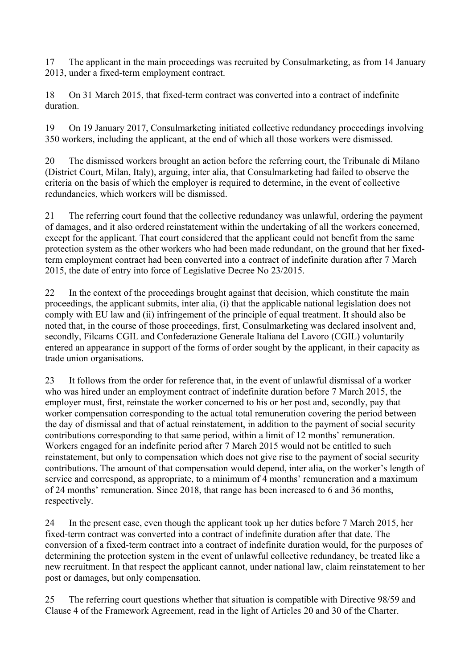17 The applicant in the main proceedings was recruited by Consulmarketing, as from 14 January 2013, under a fixed-term employment contract.

18 On 31 March 2015, that fixed-term contract was converted into a contract of indefinite duration.

19 On 19 January 2017, Consulmarketing initiated collective redundancy proceedings involving 350 workers, including the applicant, at the end of which all those workers were dismissed.

20 The dismissed workers brought an action before the referring court, the Tribunale di Milano (District Court, Milan, Italy), arguing, inter alia, that Consulmarketing had failed to observe the criteria on the basis of which the employer is required to determine, in the event of collective redundancies, which workers will be dismissed.

21 The referring court found that the collective redundancy was unlawful, ordering the payment of damages, and it also ordered reinstatement within the undertaking of all the workers concerned, except for the applicant. That court considered that the applicant could not benefit from the same protection system as the other workers who had been made redundant, on the ground that her fixedterm employment contract had been converted into a contract of indefinite duration after 7 March 2015, the date of entry into force of Legislative Decree No 23/2015.

22 In the context of the proceedings brought against that decision, which constitute the main proceedings, the applicant submits, inter alia, (i) that the applicable national legislation does not comply with EU law and (ii) infringement of the principle of equal treatment. It should also be noted that, in the course of those proceedings, first, Consulmarketing was declared insolvent and, secondly, Filcams CGIL and Confederazione Generale Italiana del Lavoro (CGIL) voluntarily entered an appearance in support of the forms of order sought by the applicant, in their capacity as trade union organisations.

23 It follows from the order for reference that, in the event of unlawful dismissal of a worker who was hired under an employment contract of indefinite duration before 7 March 2015, the employer must, first, reinstate the worker concerned to his or her post and, secondly, pay that worker compensation corresponding to the actual total remuneration covering the period between the day of dismissal and that of actual reinstatement, in addition to the payment of social security contributions corresponding to that same period, within a limit of 12 months' remuneration. Workers engaged for an indefinite period after 7 March 2015 would not be entitled to such reinstatement, but only to compensation which does not give rise to the payment of social security contributions. The amount of that compensation would depend, inter alia, on the worker's length of service and correspond, as appropriate, to a minimum of 4 months' remuneration and a maximum of 24 months' remuneration. Since 2018, that range has been increased to 6 and 36 months, respectively.

24 In the present case, even though the applicant took up her duties before 7 March 2015, her fixed-term contract was converted into a contract of indefinite duration after that date. The conversion of a fixed-term contract into a contract of indefinite duration would, for the purposes of determining the protection system in the event of unlawful collective redundancy, be treated like a new recruitment. In that respect the applicant cannot, under national law, claim reinstatement to her post or damages, but only compensation.

25 The referring court questions whether that situation is compatible with Directive 98/59 and Clause 4 of the Framework Agreement, read in the light of Articles 20 and 30 of the Charter.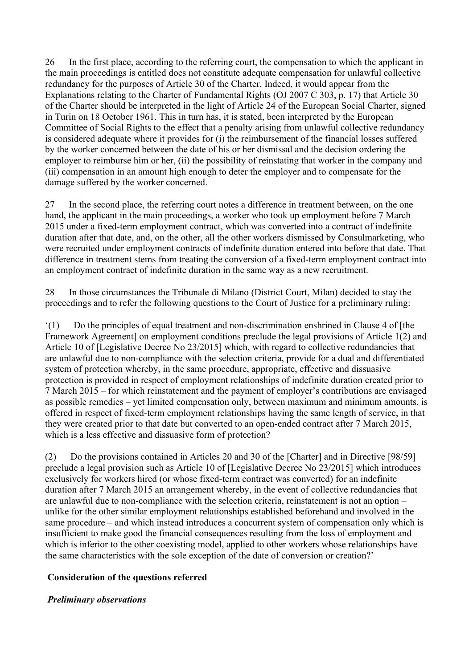26 In the first place, according to the referring court, the compensation to which the applicant in the main proceedings is entitled does not constitute adequate compensation for unlawful collective redundancy for the purposes of Article 30 of the Charter. Indeed, it would appear from the Explanations relating to the Charter of Fundamental Rights (OJ 2007 C 303, p. 17) that Article 30 of the Charter should be interpreted in the light of Article 24 of the European Social Charter, signed in Turin on 18 October 1961. This in turn has, it is stated, been interpreted by the European Committee of Social Rights to the effect that a penalty arising from unlawful collective redundancy is considered adequate where it provides for (i) the reimbursement of the financial losses suffered by the worker concerned between the date of his or her dismissal and the decision ordering the employer to reimburse him or her, (ii) the possibility of reinstating that worker in the company and (iii) compensation in an amount high enough to deter the employer and to compensate for the damage suffered by the worker concerned.

27 In the second place, the referring court notes a difference in treatment between, on the one hand, the applicant in the main proceedings, a worker who took up employment before 7 March 2015 under a fixed-term employment contract, which was converted into a contract of indefinite duration after that date, and, on the other, all the other workers dismissed by Consulmarketing, who were recruited under employment contracts of indefinite duration entered into before that date. That difference in treatment stems from treating the conversion of a fixed-term employment contract into an employment contract of indefinite duration in the same way as a new recruitment.

28 In those circumstances the Tribunale di Milano (District Court, Milan) decided to stay the proceedings and to refer the following questions to the Court of Justice for a preliminary ruling:

'(1) Do the principles of equal treatment and non-discrimination enshrined in Clause 4 of [the Framework Agreement] on employment conditions preclude the legal provisions of Article 1(2) and Article 10 of [Legislative Decree No 23/2015] which, with regard to collective redundancies that are unlawful due to non-compliance with the selection criteria, provide for a dual and differentiated system of protection whereby, in the same procedure, appropriate, effective and dissuasive protection is provided in respect of employment relationships of indefinite duration created prior to 7 March 2015 – for which reinstatement and the payment of employer's contributions are envisaged as possible remedies – yet limited compensation only, between maximum and minimum amounts, is offered in respect of fixed-term employment relationships having the same length of service, in that they were created prior to that date but converted to an open-ended contract after 7 March 2015, which is a less effective and dissuasive form of protection?

(2) Do the provisions contained in Articles 20 and 30 of the [Charter] and in Directive [98/59] preclude a legal provision such as Article 10 of [Legislative Decree No 23/2015] which introduces exclusively for workers hired (or whose fixed-term contract was converted) for an indefinite duration after 7 March 2015 an arrangement whereby, in the event of collective redundancies that are unlawful due to non-compliance with the selection criteria, reinstatement is not an option – unlike for the other similar employment relationships established beforehand and involved in the same procedure – and which instead introduces a concurrent system of compensation only which is insufficient to make good the financial consequences resulting from the loss of employment and which is inferior to the other coexisting model, applied to other workers whose relationships have the same characteristics with the sole exception of the date of conversion or creation?'

### **Consideration of the questions referred**

#### *Preliminary observations*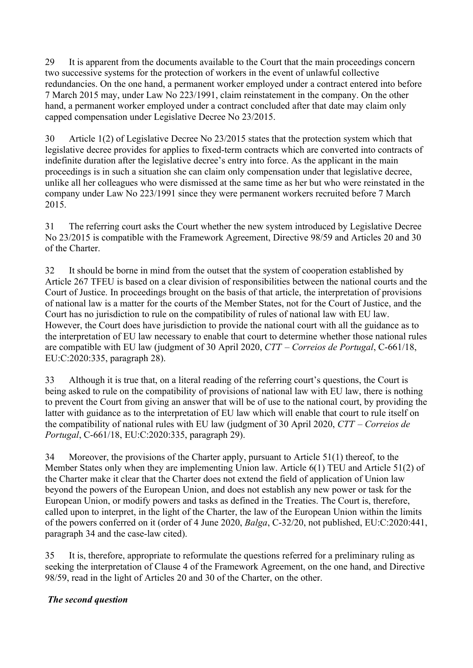29 It is apparent from the documents available to the Court that the main proceedings concern two successive systems for the protection of workers in the event of unlawful collective redundancies. On the one hand, a permanent worker employed under a contract entered into before 7 March 2015 may, under Law No 223/1991, claim reinstatement in the company. On the other hand, a permanent worker employed under a contract concluded after that date may claim only capped compensation under Legislative Decree No 23/2015.

30 Article 1(2) of Legislative Decree No 23/2015 states that the protection system which that legislative decree provides for applies to fixed-term contracts which are converted into contracts of indefinite duration after the legislative decree's entry into force. As the applicant in the main proceedings is in such a situation she can claim only compensation under that legislative decree, unlike all her colleagues who were dismissed at the same time as her but who were reinstated in the company under Law No 223/1991 since they were permanent workers recruited before 7 March 2015.

31 The referring court asks the Court whether the new system introduced by Legislative Decree No 23/2015 is compatible with the Framework Agreement, Directive 98/59 and Articles 20 and 30 of the Charter.

32 It should be borne in mind from the outset that the system of cooperation established by Article 267 TFEU is based on a clear division of responsibilities between the national courts and the Court of Justice. In proceedings brought on the basis of that article, the interpretation of provisions of national law is a matter for the courts of the Member States, not for the Court of Justice, and the Court has no jurisdiction to rule on the compatibility of rules of national law with EU law. However, the Court does have jurisdiction to provide the national court with all the guidance as to the interpretation of EU law necessary to enable that court to determine whether those national rules are compatible with EU law (judgment of 30 April 2020, *CTT – Correios de Portugal*, C-661/18, EU:C:2020:335, paragraph 28).

33 Although it is true that, on a literal reading of the referring court's questions, the Court is being asked to rule on the compatibility of provisions of national law with EU law, there is nothing to prevent the Court from giving an answer that will be of use to the national court, by providing the latter with guidance as to the interpretation of EU law which will enable that court to rule itself on the compatibility of national rules with EU law (judgment of 30 April 2020, *CTT – Correios de Portugal*, C-661/18, EU:C:2020:335, paragraph 29).

34 Moreover, the provisions of the Charter apply, pursuant to Article 51(1) thereof, to the Member States only when they are implementing Union law. Article 6(1) TEU and Article 51(2) of the Charter make it clear that the Charter does not extend the field of application of Union law beyond the powers of the European Union, and does not establish any new power or task for the European Union, or modify powers and tasks as defined in the Treaties. The Court is, therefore, called upon to interpret, in the light of the Charter, the law of the European Union within the limits of the powers conferred on it (order of 4 June 2020, *Balga*, C-32/20, not published, EU:C:2020:441, paragraph 34 and the case-law cited).

35 It is, therefore, appropriate to reformulate the questions referred for a preliminary ruling as seeking the interpretation of Clause 4 of the Framework Agreement, on the one hand, and Directive 98/59, read in the light of Articles 20 and 30 of the Charter, on the other.

## *The second question*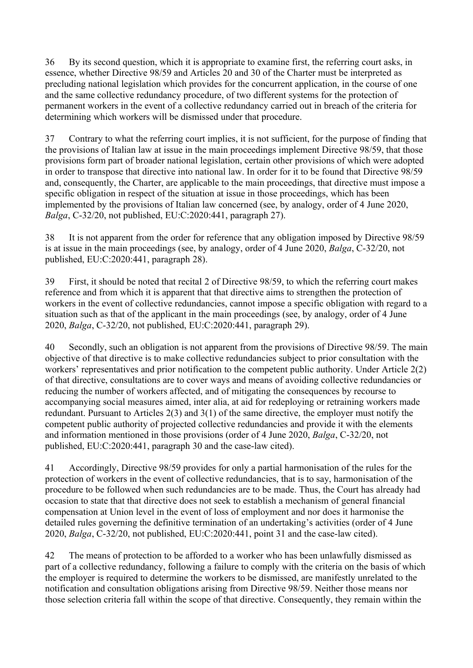36 By its second question, which it is appropriate to examine first, the referring court asks, in essence, whether Directive 98/59 and Articles 20 and 30 of the Charter must be interpreted as precluding national legislation which provides for the concurrent application, in the course of one and the same collective redundancy procedure, of two different systems for the protection of permanent workers in the event of a collective redundancy carried out in breach of the criteria for determining which workers will be dismissed under that procedure.

37 Contrary to what the referring court implies, it is not sufficient, for the purpose of finding that the provisions of Italian law at issue in the main proceedings implement Directive 98/59, that those provisions form part of broader national legislation, certain other provisions of which were adopted in order to transpose that directive into national law. In order for it to be found that Directive 98/59 and, consequently, the Charter, are applicable to the main proceedings, that directive must impose a specific obligation in respect of the situation at issue in those proceedings, which has been implemented by the provisions of Italian law concerned (see, by analogy, order of 4 June 2020, *Balga*, C-32/20, not published, EU:C:2020:441, paragraph 27).

38 It is not apparent from the order for reference that any obligation imposed by Directive 98/59 is at issue in the main proceedings (see, by analogy, order of 4 June 2020, *Balga*, C-32/20, not published, EU:C:2020:441, paragraph 28).

39 First, it should be noted that recital 2 of Directive 98/59, to which the referring court makes reference and from which it is apparent that that directive aims to strengthen the protection of workers in the event of collective redundancies, cannot impose a specific obligation with regard to a situation such as that of the applicant in the main proceedings (see, by analogy, order of 4 June 2020, *Balga*, C-32/20, not published, EU:C:2020:441, paragraph 29).

40 Secondly, such an obligation is not apparent from the provisions of Directive 98/59. The main objective of that directive is to make collective redundancies subject to prior consultation with the workers' representatives and prior notification to the competent public authority. Under Article 2(2) of that directive, consultations are to cover ways and means of avoiding collective redundancies or reducing the number of workers affected, and of mitigating the consequences by recourse to accompanying social measures aimed, inter alia, at aid for redeploying or retraining workers made redundant. Pursuant to Articles 2(3) and 3(1) of the same directive, the employer must notify the competent public authority of projected collective redundancies and provide it with the elements and information mentioned in those provisions (order of 4 June 2020, *Balga*, C-32/20, not published, EU:C:2020:441, paragraph 30 and the case-law cited).

41 Accordingly, Directive 98/59 provides for only a partial harmonisation of the rules for the protection of workers in the event of collective redundancies, that is to say, harmonisation of the procedure to be followed when such redundancies are to be made. Thus, the Court has already had occasion to state that that directive does not seek to establish a mechanism of general financial compensation at Union level in the event of loss of employment and nor does it harmonise the detailed rules governing the definitive termination of an undertaking's activities (order of 4 June 2020, *Balga*, C-32/20, not published, EU:C:2020:441, point 31 and the case-law cited).

42 The means of protection to be afforded to a worker who has been unlawfully dismissed as part of a collective redundancy, following a failure to comply with the criteria on the basis of which the employer is required to determine the workers to be dismissed, are manifestly unrelated to the notification and consultation obligations arising from Directive 98/59. Neither those means nor those selection criteria fall within the scope of that directive. Consequently, they remain within the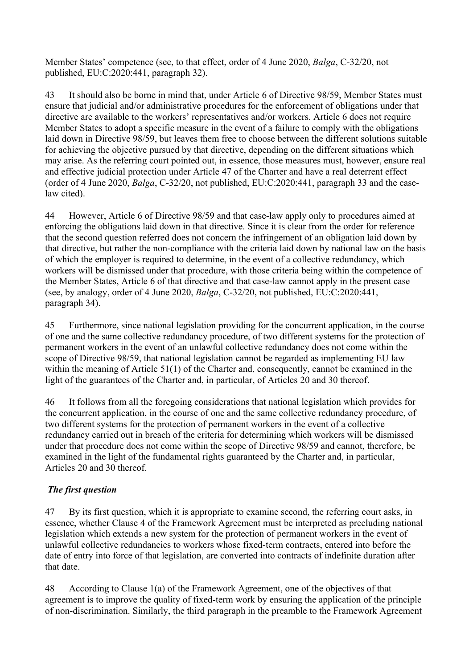Member States' competence (see, to that effect, order of 4 June 2020, *Balga*, C-32/20, not published, EU:C:2020:441, paragraph 32).

43 It should also be borne in mind that, under Article 6 of Directive 98/59, Member States must ensure that judicial and/or administrative procedures for the enforcement of obligations under that directive are available to the workers' representatives and/or workers. Article 6 does not require Member States to adopt a specific measure in the event of a failure to comply with the obligations laid down in Directive 98/59, but leaves them free to choose between the different solutions suitable for achieving the objective pursued by that directive, depending on the different situations which may arise. As the referring court pointed out, in essence, those measures must, however, ensure real and effective judicial protection under Article 47 of the Charter and have a real deterrent effect (order of 4 June 2020, *Balga*, C-32/20, not published, EU:C:2020:441, paragraph 33 and the caselaw cited).

44 However, Article 6 of Directive 98/59 and that case-law apply only to procedures aimed at enforcing the obligations laid down in that directive. Since it is clear from the order for reference that the second question referred does not concern the infringement of an obligation laid down by that directive, but rather the non-compliance with the criteria laid down by national law on the basis of which the employer is required to determine, in the event of a collective redundancy, which workers will be dismissed under that procedure, with those criteria being within the competence of the Member States, Article 6 of that directive and that case-law cannot apply in the present case (see, by analogy, order of 4 June 2020, *Balga*, C-32/20, not published, EU:C:2020:441, paragraph 34).

45 Furthermore, since national legislation providing for the concurrent application, in the course of one and the same collective redundancy procedure, of two different systems for the protection of permanent workers in the event of an unlawful collective redundancy does not come within the scope of Directive 98/59, that national legislation cannot be regarded as implementing EU law within the meaning of Article 51(1) of the Charter and, consequently, cannot be examined in the light of the guarantees of the Charter and, in particular, of Articles 20 and 30 thereof.

46 It follows from all the foregoing considerations that national legislation which provides for the concurrent application, in the course of one and the same collective redundancy procedure, of two different systems for the protection of permanent workers in the event of a collective redundancy carried out in breach of the criteria for determining which workers will be dismissed under that procedure does not come within the scope of Directive 98/59 and cannot, therefore, be examined in the light of the fundamental rights guaranteed by the Charter and, in particular, Articles 20 and 30 thereof.

# *The first question*

47 By its first question, which it is appropriate to examine second, the referring court asks, in essence, whether Clause 4 of the Framework Agreement must be interpreted as precluding national legislation which extends a new system for the protection of permanent workers in the event of unlawful collective redundancies to workers whose fixed-term contracts, entered into before the date of entry into force of that legislation, are converted into contracts of indefinite duration after that date.

48 According to Clause 1(a) of the Framework Agreement, one of the objectives of that agreement is to improve the quality of fixed-term work by ensuring the application of the principle of non-discrimination. Similarly, the third paragraph in the preamble to the Framework Agreement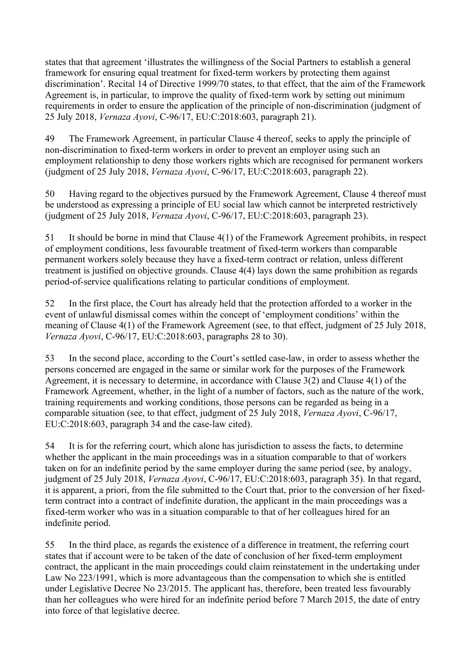states that that agreement 'illustrates the willingness of the Social Partners to establish a general framework for ensuring equal treatment for fixed-term workers by protecting them against discrimination'. Recital 14 of Directive 1999/70 states, to that effect, that the aim of the Framework Agreement is, in particular, to improve the quality of fixed-term work by setting out minimum requirements in order to ensure the application of the principle of non-discrimination (judgment of 25 July 2018, *Vernaza Ayovi*, C-96/17, EU:C:2018:603, paragraph 21).

49 The Framework Agreement, in particular Clause 4 thereof, seeks to apply the principle of non-discrimination to fixed-term workers in order to prevent an employer using such an employment relationship to deny those workers rights which are recognised for permanent workers (judgment of 25 July 2018, *Vernaza Ayovi*, C-96/17, EU:C:2018:603, paragraph 22).

50 Having regard to the objectives pursued by the Framework Agreement, Clause 4 thereof must be understood as expressing a principle of EU social law which cannot be interpreted restrictively (judgment of 25 July 2018, *Vernaza Ayovi*, C-96/17, EU:C:2018:603, paragraph 23).

51 It should be borne in mind that Clause 4(1) of the Framework Agreement prohibits, in respect of employment conditions, less favourable treatment of fixed-term workers than comparable permanent workers solely because they have a fixed-term contract or relation, unless different treatment is justified on objective grounds. Clause 4(4) lays down the same prohibition as regards period-of-service qualifications relating to particular conditions of employment.

52 In the first place, the Court has already held that the protection afforded to a worker in the event of unlawful dismissal comes within the concept of 'employment conditions' within the meaning of Clause 4(1) of the Framework Agreement (see, to that effect, judgment of 25 July 2018, *Vernaza Ayovi*, C-96/17, EU:C:2018:603, paragraphs 28 to 30).

53 In the second place, according to the Court's settled case-law, in order to assess whether the persons concerned are engaged in the same or similar work for the purposes of the Framework Agreement, it is necessary to determine, in accordance with Clause 3(2) and Clause 4(1) of the Framework Agreement, whether, in the light of a number of factors, such as the nature of the work, training requirements and working conditions, those persons can be regarded as being in a comparable situation (see, to that effect, judgment of 25 July 2018, *Vernaza Ayovi*, C-96/17, EU:C:2018:603, paragraph 34 and the case-law cited).

54 It is for the referring court, which alone has jurisdiction to assess the facts, to determine whether the applicant in the main proceedings was in a situation comparable to that of workers taken on for an indefinite period by the same employer during the same period (see, by analogy, judgment of 25 July 2018, *Vernaza Ayovi*, C-96/17, EU:C:2018:603, paragraph 35). In that regard, it is apparent, a priori, from the file submitted to the Court that, prior to the conversion of her fixedterm contract into a contract of indefinite duration, the applicant in the main proceedings was a fixed-term worker who was in a situation comparable to that of her colleagues hired for an indefinite period.

55 In the third place, as regards the existence of a difference in treatment, the referring court states that if account were to be taken of the date of conclusion of her fixed-term employment contract, the applicant in the main proceedings could claim reinstatement in the undertaking under Law No 223/1991, which is more advantageous than the compensation to which she is entitled under Legislative Decree No 23/2015. The applicant has, therefore, been treated less favourably than her colleagues who were hired for an indefinite period before 7 March 2015, the date of entry into force of that legislative decree.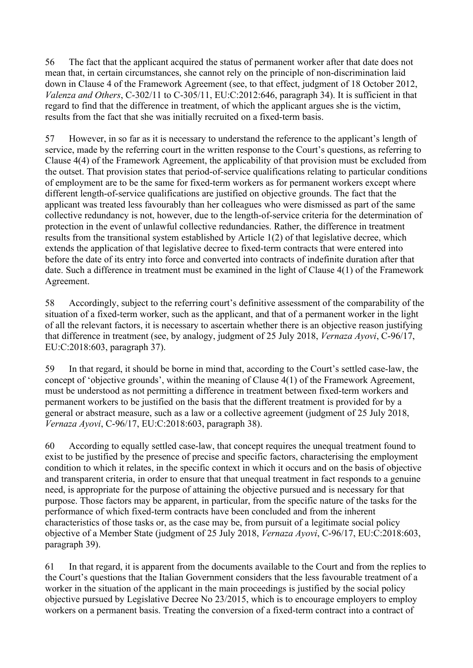56 The fact that the applicant acquired the status of permanent worker after that date does not mean that, in certain circumstances, she cannot rely on the principle of non-discrimination laid down in Clause 4 of the Framework Agreement (see, to that effect, judgment of 18 October 2012, *Valenza and Others*, C-302/11 to C-305/11, EU:C:2012:646, paragraph 34). It is sufficient in that regard to find that the difference in treatment, of which the applicant argues she is the victim, results from the fact that she was initially recruited on a fixed-term basis.

57 However, in so far as it is necessary to understand the reference to the applicant's length of service, made by the referring court in the written response to the Court's questions, as referring to Clause 4(4) of the Framework Agreement, the applicability of that provision must be excluded from the outset. That provision states that period-of-service qualifications relating to particular conditions of employment are to be the same for fixed-term workers as for permanent workers except where different length-of-service qualifications are justified on objective grounds. The fact that the applicant was treated less favourably than her colleagues who were dismissed as part of the same collective redundancy is not, however, due to the length-of-service criteria for the determination of protection in the event of unlawful collective redundancies. Rather, the difference in treatment results from the transitional system established by Article 1(2) of that legislative decree, which extends the application of that legislative decree to fixed-term contracts that were entered into before the date of its entry into force and converted into contracts of indefinite duration after that date. Such a difference in treatment must be examined in the light of Clause 4(1) of the Framework Agreement.

58 Accordingly, subject to the referring court's definitive assessment of the comparability of the situation of a fixed-term worker, such as the applicant, and that of a permanent worker in the light of all the relevant factors, it is necessary to ascertain whether there is an objective reason justifying that difference in treatment (see, by analogy, judgment of 25 July 2018, *Vernaza Ayovi*, C-96/17, EU:C:2018:603, paragraph 37).

59 In that regard, it should be borne in mind that, according to the Court's settled case-law, the concept of 'objective grounds', within the meaning of Clause 4(1) of the Framework Agreement, must be understood as not permitting a difference in treatment between fixed-term workers and permanent workers to be justified on the basis that the different treatment is provided for by a general or abstract measure, such as a law or a collective agreement (judgment of 25 July 2018, *Vernaza Ayovi*, C-96/17, EU:C:2018:603, paragraph 38).

60 According to equally settled case-law, that concept requires the unequal treatment found to exist to be justified by the presence of precise and specific factors, characterising the employment condition to which it relates, in the specific context in which it occurs and on the basis of objective and transparent criteria, in order to ensure that that unequal treatment in fact responds to a genuine need, is appropriate for the purpose of attaining the objective pursued and is necessary for that purpose. Those factors may be apparent, in particular, from the specific nature of the tasks for the performance of which fixed-term contracts have been concluded and from the inherent characteristics of those tasks or, as the case may be, from pursuit of a legitimate social policy objective of a Member State (judgment of 25 July 2018, *Vernaza Ayovi*, C-96/17, EU:C:2018:603, paragraph 39).

61 In that regard, it is apparent from the documents available to the Court and from the replies to the Court's questions that the Italian Government considers that the less favourable treatment of a worker in the situation of the applicant in the main proceedings is justified by the social policy objective pursued by Legislative Decree No 23/2015, which is to encourage employers to employ workers on a permanent basis. Treating the conversion of a fixed-term contract into a contract of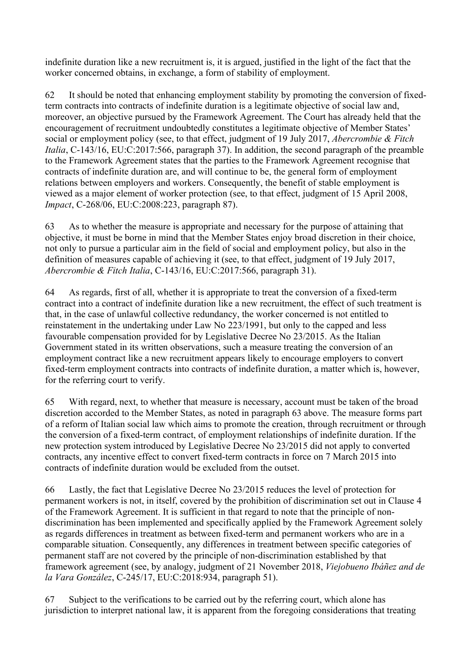indefinite duration like a new recruitment is, it is argued, justified in the light of the fact that the worker concerned obtains, in exchange, a form of stability of employment.

62 It should be noted that enhancing employment stability by promoting the conversion of fixedterm contracts into contracts of indefinite duration is a legitimate objective of social law and, moreover, an objective pursued by the Framework Agreement. The Court has already held that the encouragement of recruitment undoubtedly constitutes a legitimate objective of Member States' social or employment policy (see, to that effect, judgment of 19 July 2017, *Abercrombie & Fitch Italia*, C-143/16, EU:C:2017:566, paragraph 37). In addition, the second paragraph of the preamble to the Framework Agreement states that the parties to the Framework Agreement recognise that contracts of indefinite duration are, and will continue to be, the general form of employment relations between employers and workers. Consequently, the benefit of stable employment is viewed as a major element of worker protection (see, to that effect, judgment of 15 April 2008, *Impact*, C-268/06, EU:C:2008:223, paragraph 87).

63 As to whether the measure is appropriate and necessary for the purpose of attaining that objective, it must be borne in mind that the Member States enjoy broad discretion in their choice, not only to pursue a particular aim in the field of social and employment policy, but also in the definition of measures capable of achieving it (see, to that effect, judgment of 19 July 2017, *Abercrombie & Fitch Italia*, C-143/16, EU:C:2017:566, paragraph 31).

64 As regards, first of all, whether it is appropriate to treat the conversion of a fixed-term contract into a contract of indefinite duration like a new recruitment, the effect of such treatment is that, in the case of unlawful collective redundancy, the worker concerned is not entitled to reinstatement in the undertaking under Law No 223/1991, but only to the capped and less favourable compensation provided for by Legislative Decree No 23/2015. As the Italian Government stated in its written observations, such a measure treating the conversion of an employment contract like a new recruitment appears likely to encourage employers to convert fixed-term employment contracts into contracts of indefinite duration, a matter which is, however, for the referring court to verify.

65 With regard, next, to whether that measure is necessary, account must be taken of the broad discretion accorded to the Member States, as noted in paragraph 63 above. The measure forms part of a reform of Italian social law which aims to promote the creation, through recruitment or through the conversion of a fixed-term contract, of employment relationships of indefinite duration. If the new protection system introduced by Legislative Decree No 23/2015 did not apply to converted contracts, any incentive effect to convert fixed-term contracts in force on 7 March 2015 into contracts of indefinite duration would be excluded from the outset.

66 Lastly, the fact that Legislative Decree No 23/2015 reduces the level of protection for permanent workers is not, in itself, covered by the prohibition of discrimination set out in Clause 4 of the Framework Agreement. It is sufficient in that regard to note that the principle of nondiscrimination has been implemented and specifically applied by the Framework Agreement solely as regards differences in treatment as between fixed-term and permanent workers who are in a comparable situation. Consequently, any differences in treatment between specific categories of permanent staff are not covered by the principle of non-discrimination established by that framework agreement (see, by analogy, judgment of 21 November 2018, *Viejobueno Ibáñez and de la Vara González*, C-245/17, EU:C:2018:934, paragraph 51).

67 Subject to the verifications to be carried out by the referring court, which alone has jurisdiction to interpret national law, it is apparent from the foregoing considerations that treating